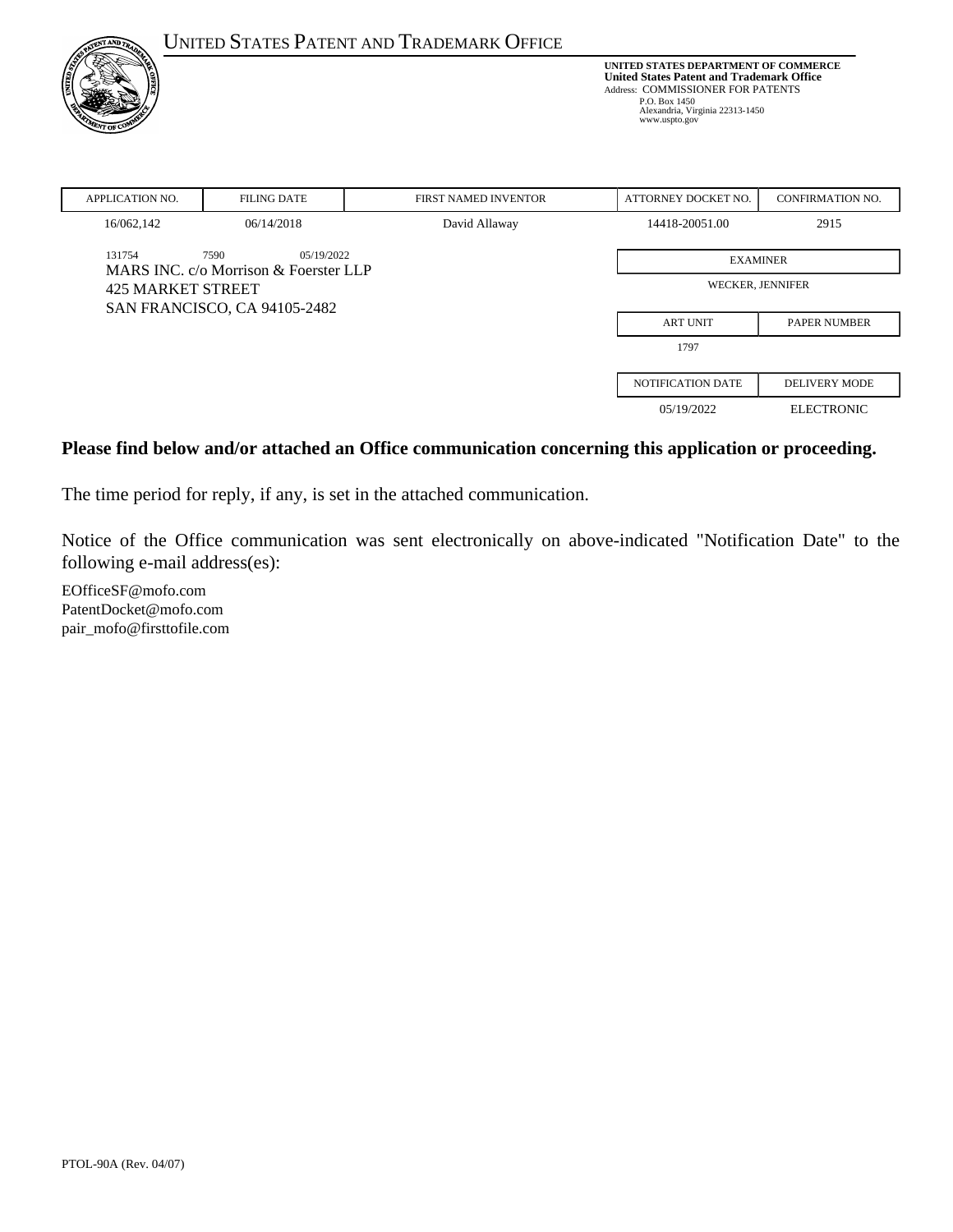|                              |                                                             | <b>UNITED STATES PATENT AND TRADEMARK OFFICE</b> |                                                                                                                                                                                                           |                         |
|------------------------------|-------------------------------------------------------------|--------------------------------------------------|-----------------------------------------------------------------------------------------------------------------------------------------------------------------------------------------------------------|-------------------------|
| VT OF                        |                                                             |                                                  | <b>UNITED STATES DEPARTMENT OF COMMERCE</b><br><b>United States Patent and Trademark Office</b><br>Address: COMMISSIONER FOR PATENTS<br>P.O. Box 1450<br>Alexandria, Virginia 22313-1450<br>www.uspto.gov |                         |
| <b>APPLICATION NO.</b>       | <b>FILING DATE</b>                                          | <b>FIRST NAMED INVENTOR</b>                      | ATTORNEY DOCKET NO.                                                                                                                                                                                       | <b>CONFIRMATION NO.</b> |
| 16/062,142                   | 06/14/2018                                                  | David Allaway                                    | 14418-20051.00                                                                                                                                                                                            | 2915                    |
| 131754                       | 7590<br>05/19/2022<br>MARS INC. c/o Morrison & Foerster LLP |                                                  | <b>EXAMINER</b>                                                                                                                                                                                           |                         |
| <b>425 MARKET STREET</b>     |                                                             | <b>WECKER, JENNIFER</b>                          |                                                                                                                                                                                                           |                         |
| SAN FRANCISCO, CA 94105-2482 |                                                             |                                                  |                                                                                                                                                                                                           |                         |
|                              |                                                             |                                                  | <b>ART UNIT</b>                                                                                                                                                                                           | <b>PAPER NUMBER</b>     |
|                              |                                                             |                                                  | 1797                                                                                                                                                                                                      |                         |
|                              |                                                             |                                                  | <b>NOTIFICATION DATE</b>                                                                                                                                                                                  | <b>DELIVERY MODE</b>    |
|                              |                                                             |                                                  | 05/19/2022                                                                                                                                                                                                | <b>ELECTRONIC</b>       |

#### **Please find below and/or attached an Office communication concerning this application or proceeding.**

The time period for reply, if any, is set in the attached communication.

Notice of the Office communication was sent electronically on above-indicated "Notification Date" to the following e-mail address(es):

EOfficeSF@mofo.com PatentDocket@mofo.com pair\_mofo@firsttofile.com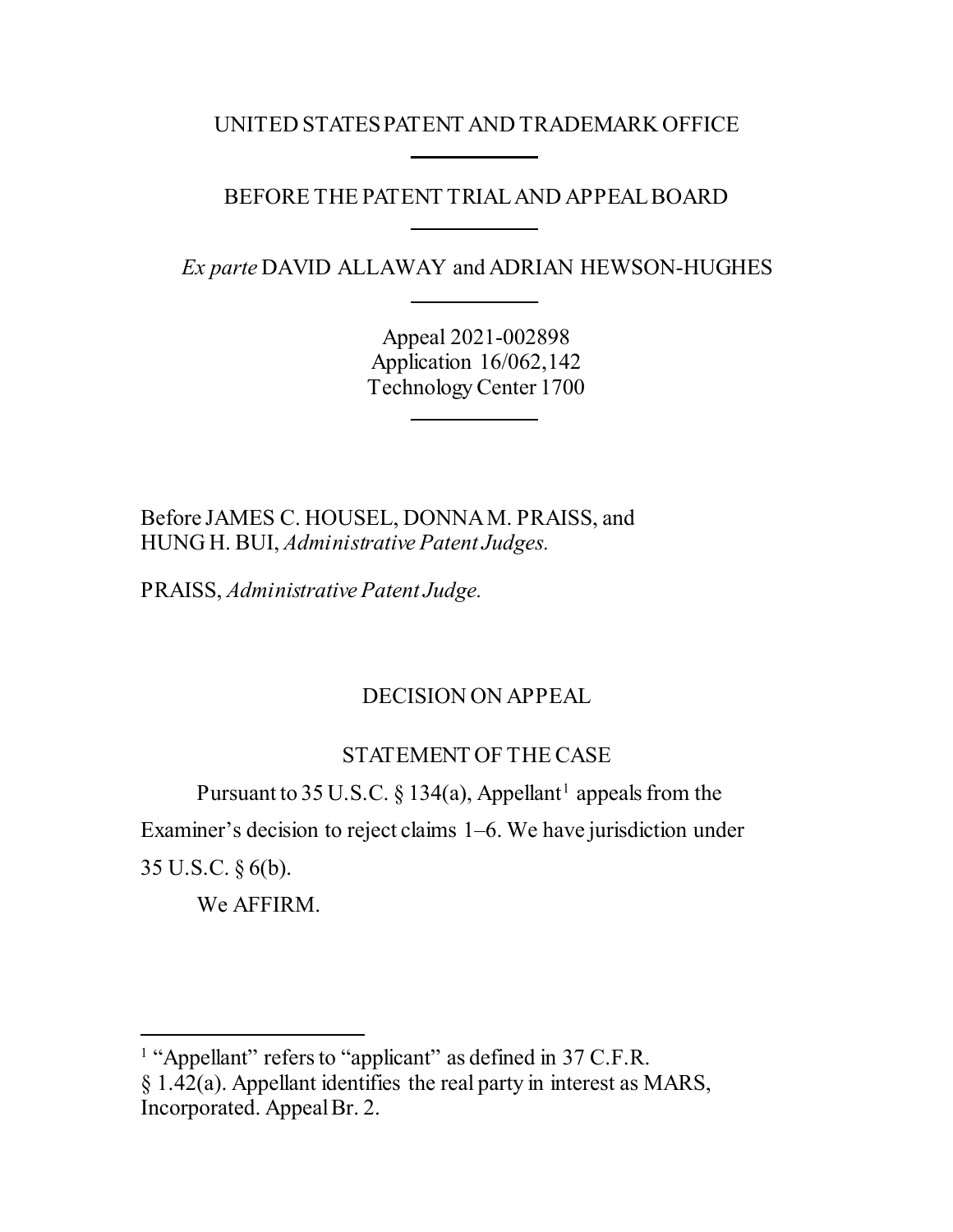### UNITED STATES PATENT AND TRADEMARK OFFICE

## BEFORE THE PATENT TRIAL AND APPEAL BOARD

*Ex parte* DAVID ALLAWAY and ADRIAN HEWSON-HUGHES

Appeal 2021-002898 Application 16/062,142 Technology Center 1700

Before JAMES C. HOUSEL, DONNAM. PRAISS, and HUNG H. BUI, *Administrative Patent Judges.*

PRAISS, *Administrative Patent Judge.*

# DECISION ON APPEAL

# STATEMENT OF THE CASE

Pursuant to 35 U.S.C. § [1](#page-1-0)34(a), Appellant<sup>1</sup> appeals from the Examiner's decision to reject claims 1–6. We have jurisdiction under 35 U.S.C. § 6(b).

We AFFIRM.

 $\overline{a}$ 

<span id="page-1-0"></span><sup>&</sup>lt;sup>1</sup> "Appellant" refers to "applicant" as defined in 37 C.F.R. § 1.42(a). Appellant identifies the real party in interest as MARS, Incorporated. Appeal Br. 2.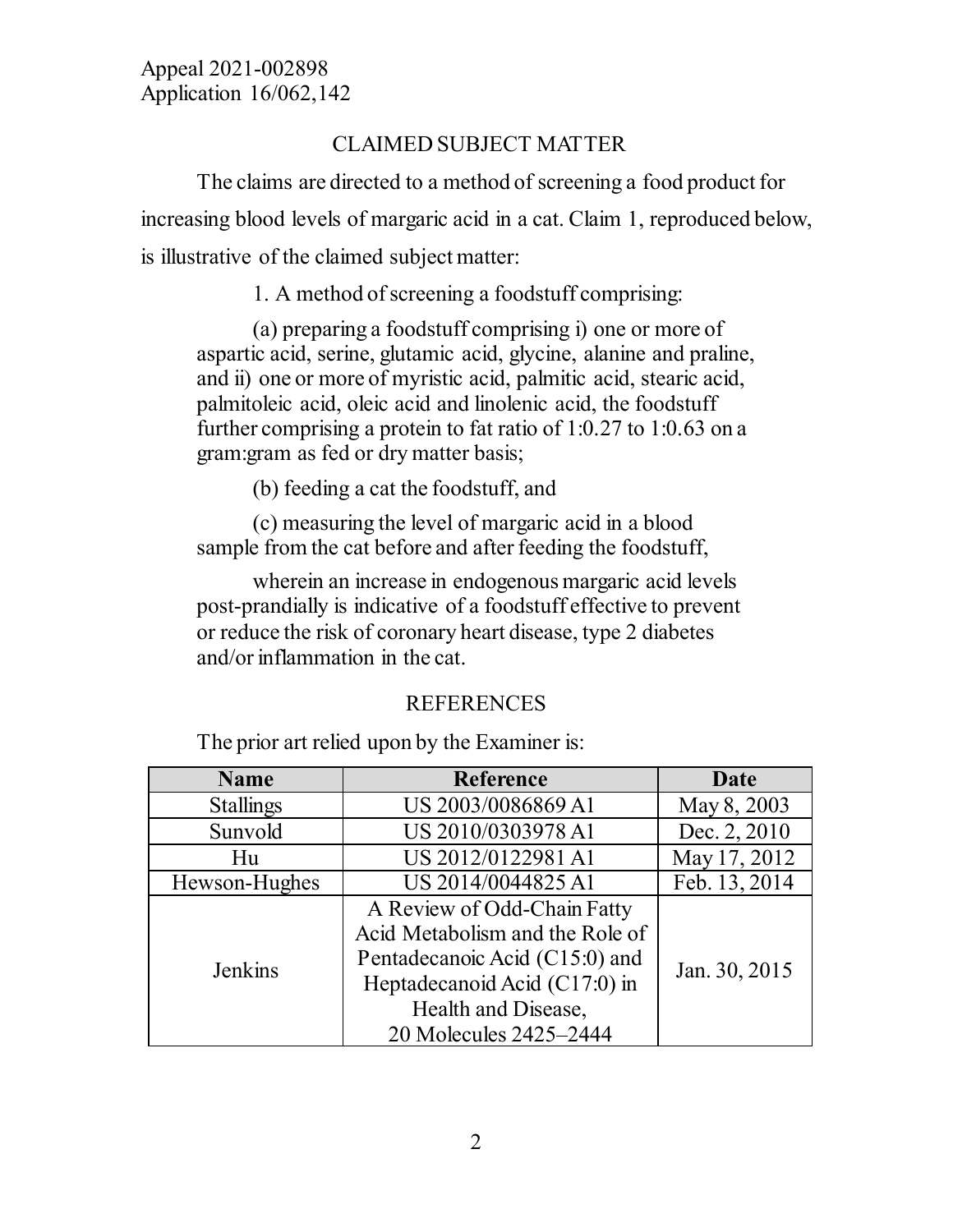# CLAIMED SUBJECT MATTER

The claims are directed to a method of screening a food product for increasing blood levels of margaric acid in a cat. Claim 1, reproduced below, is illustrative of the claimed subject matter:

1. A method of screening a foodstuff comprising:

(a) preparing a foodstuff comprising i) one or more of aspartic acid, serine, glutamic acid, glycine, alanine and praline, and ii) one or more of myristic acid, palmitic acid, stearic acid, palmitoleic acid, oleic acid and linolenic acid, the foodstuff further comprising a protein to fat ratio of 1:0.27 to 1:0.63 on a gram:gram as fed or dry matter basis;

(b) feeding a cat the foodstuff, and

(c) measuring the level of margaric acid in a blood sample from the cat before and after feeding the foodstuff,

wherein an increase in endogenous margaric acid levels post-prandially is indicative of a foodstuff effective to prevent or reduce the risk of coronary heart disease, type 2 diabetes and/or inflammation in the cat.

## REFERENCES

The prior art relied upon by the Examiner is:

| <b>Name</b>      | <b>Reference</b>                                                                                                                                                                   | Date          |
|------------------|------------------------------------------------------------------------------------------------------------------------------------------------------------------------------------|---------------|
| <b>Stallings</b> | US 2003/0086869 A1                                                                                                                                                                 | May 8, 2003   |
| Sunvold          | US 2010/0303978 A1                                                                                                                                                                 | Dec. 2, 2010  |
| Hu               | US 2012/0122981 A1                                                                                                                                                                 | May 17, 2012  |
| Hewson-Hughes    | US 2014/0044825 A1                                                                                                                                                                 | Feb. 13, 2014 |
| Jenkins          | A Review of Odd-Chain Fatty<br>Acid Metabolism and the Role of<br>Pentadecanoic Acid (C15:0) and<br>Heptadecanoid Acid (C17:0) in<br>Health and Disease,<br>20 Molecules 2425–2444 | Jan. 30, 2015 |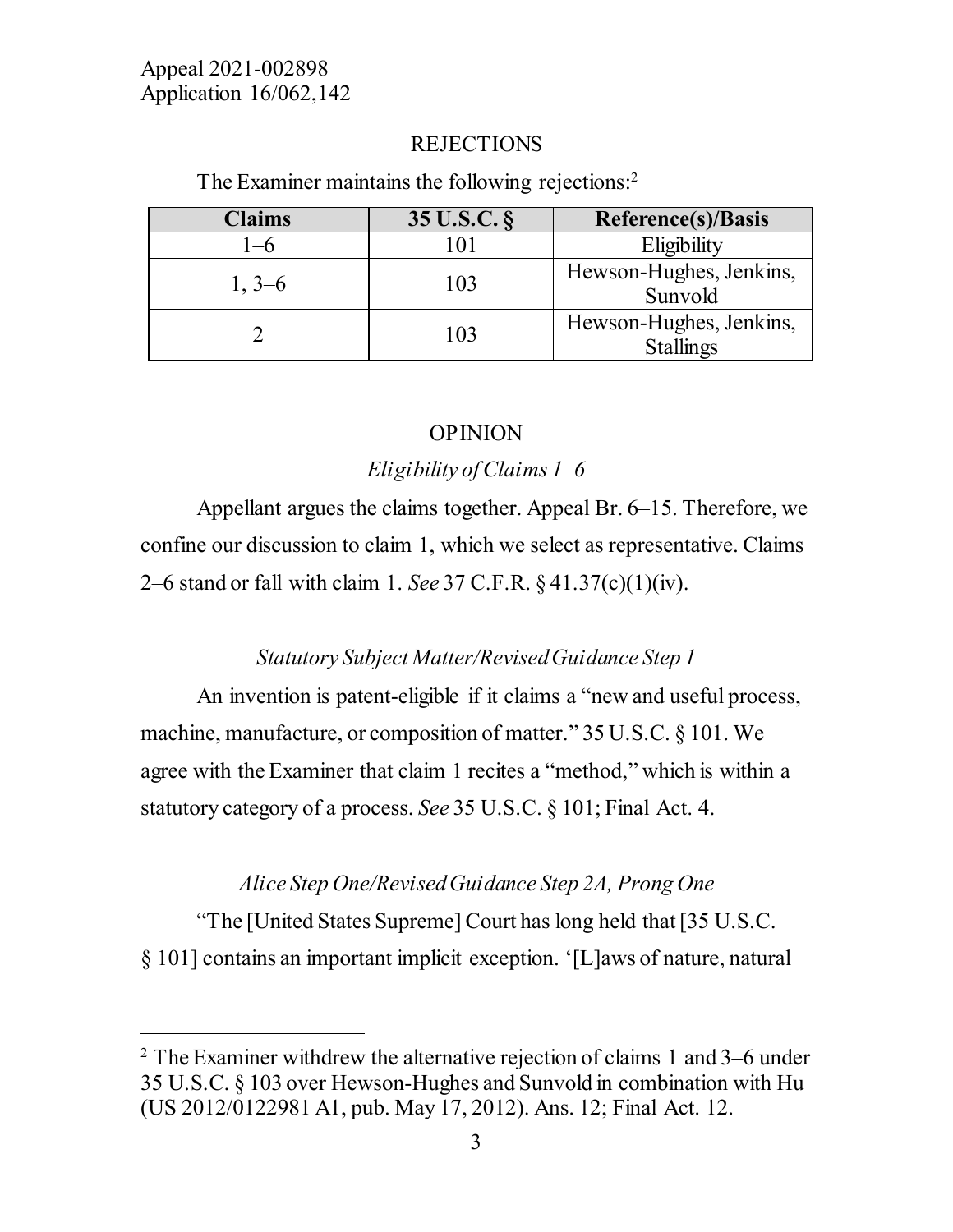$\overline{a}$ 

#### REJECTIONS

The Examiner maintains the following rejections: [2](#page-3-0)

| <b>Claims</b> | 35 U.S.C. § | <b>Reference(s)/Basis</b>                   |
|---------------|-------------|---------------------------------------------|
|               |             | Eligibility                                 |
| $1, 3-6$      | 103         | Hewson-Hughes, Jenkins,<br>Sunvold          |
|               | 103         | Hewson-Hughes, Jenkins,<br><b>Stallings</b> |

### OPINION

## *Eligibility of Claims 1–6*

Appellant argues the claims together. Appeal Br. 6–15. Therefore, we confine our discussion to claim 1, which we select as representative. Claims 2–6 stand or fall with claim 1. *See* 37 C.F.R. § 41.37(c)(1)(iv).

## *Statutory Subject Matter/Revised Guidance Step 1*

An invention is patent-eligible if it claims a "new and useful process, machine, manufacture, or composition of matter." 35 U.S.C. § 101. We agree with the Examiner that claim 1 recites a "method," which is within a statutory category of a process. *See* 35 U.S.C. § 101; Final Act. 4.

### *Alice Step One/Revised Guidance Step 2A, Prong One*

"The [United States Supreme] Court has long held that [35 U.S.C. § 101] contains an important implicit exception. '[L]aws of nature, natural

<span id="page-3-0"></span><sup>&</sup>lt;sup>2</sup> The Examiner withdrew the alternative rejection of claims 1 and  $3-6$  under 35 U.S.C. § 103 over Hewson-Hughes and Sunvold in combination with Hu (US 2012/0122981 A1, pub. May 17, 2012). Ans. 12; Final Act. 12.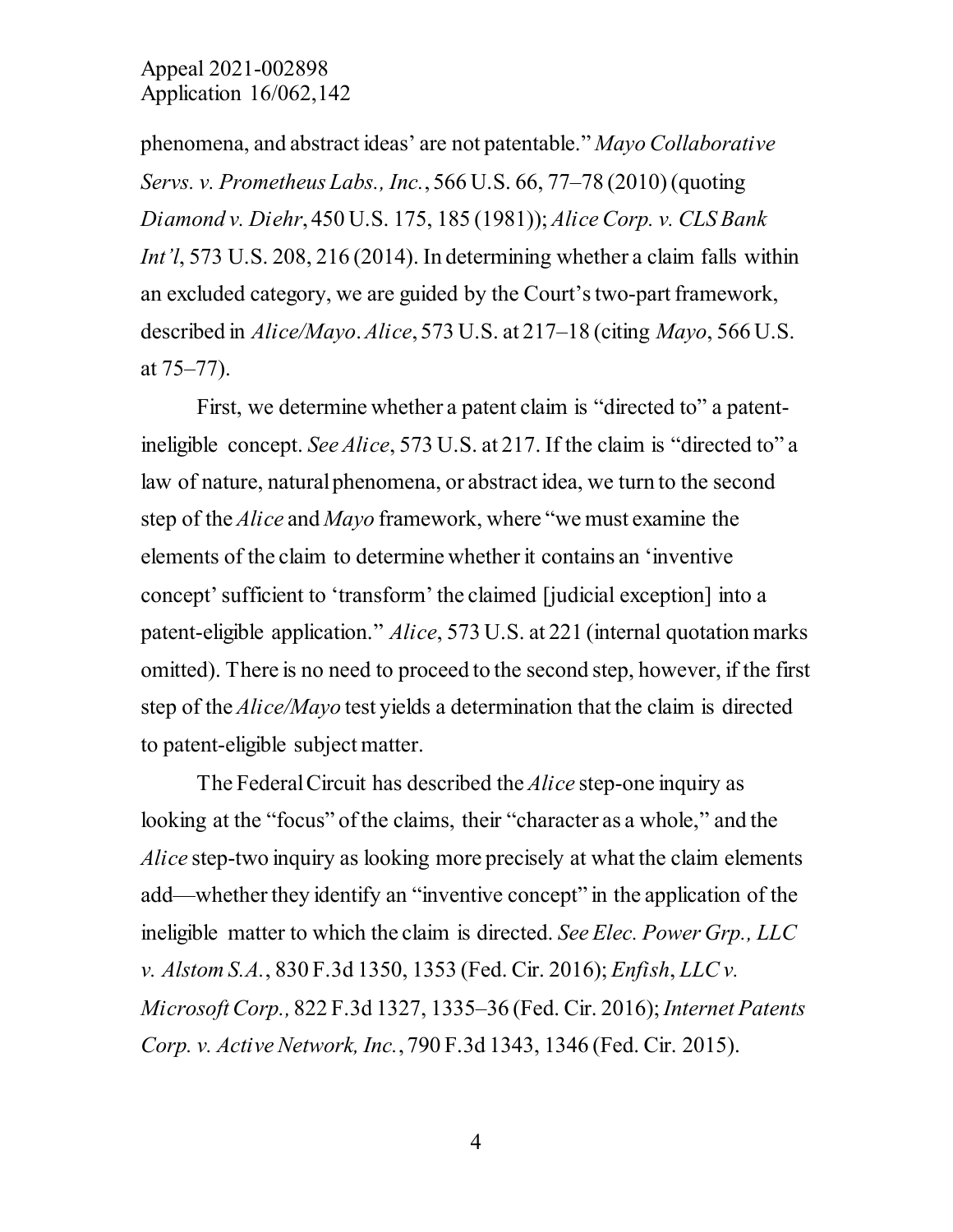phenomena, and abstract ideas' are not patentable." *Mayo Collaborative Servs. v. Prometheus Labs., Inc.*, 566 U.S. 66, 77–78 (2010) (quoting *Diamond v. Diehr*, 450 U.S. 175, 185 (1981)); *Alice Corp. v. CLS Bank Int'l*, 573 U.S. 208, 216 (2014). In determining whether a claim falls within an excluded category, we are guided by the Court's two-part framework, described in *Alice/Mayo*. *Alice*, 573 U.S. at 217–18 (citing *Mayo*, 566 U.S. at 75–77).

First, we determine whether a patent claim is "directed to" a patentineligible concept. *See Alice*, 573 U.S. at 217. If the claim is "directed to" a law of nature, natural phenomena, or abstract idea, we turn to the second step of the *Alice* and *Mayo* framework, where "we must examine the elements of the claim to determine whether it contains an 'inventive concept' sufficient to 'transform' the claimed [judicial exception] into a patent-eligible application." *Alice*, 573 U.S. at 221 (internal quotation marks omitted). There is no need to proceed to the second step, however, if the first step of the *Alice/Mayo* test yields a determination that the claim is directed to patent-eligible subject matter.

The Federal Circuit has described the *Alice* step-one inquiry as looking at the "focus" of the claims, their "character as a whole," and the *Alice* step-two inquiry as looking more precisely at what the claim elements add—whether they identify an "inventive concept" in the application of the ineligible matter to which the claim is directed. *See Elec. Power Grp., LLC v. Alstom S.A.*, 830 F.3d 1350, 1353 (Fed. Cir. 2016); *Enfish*, *LLC v. Microsoft Corp.,* 822 F.3d 1327, 1335–36 (Fed. Cir. 2016); *Internet Patents Corp. v. Active Network, Inc.*, 790 F.3d 1343, 1346 (Fed. Cir. 2015).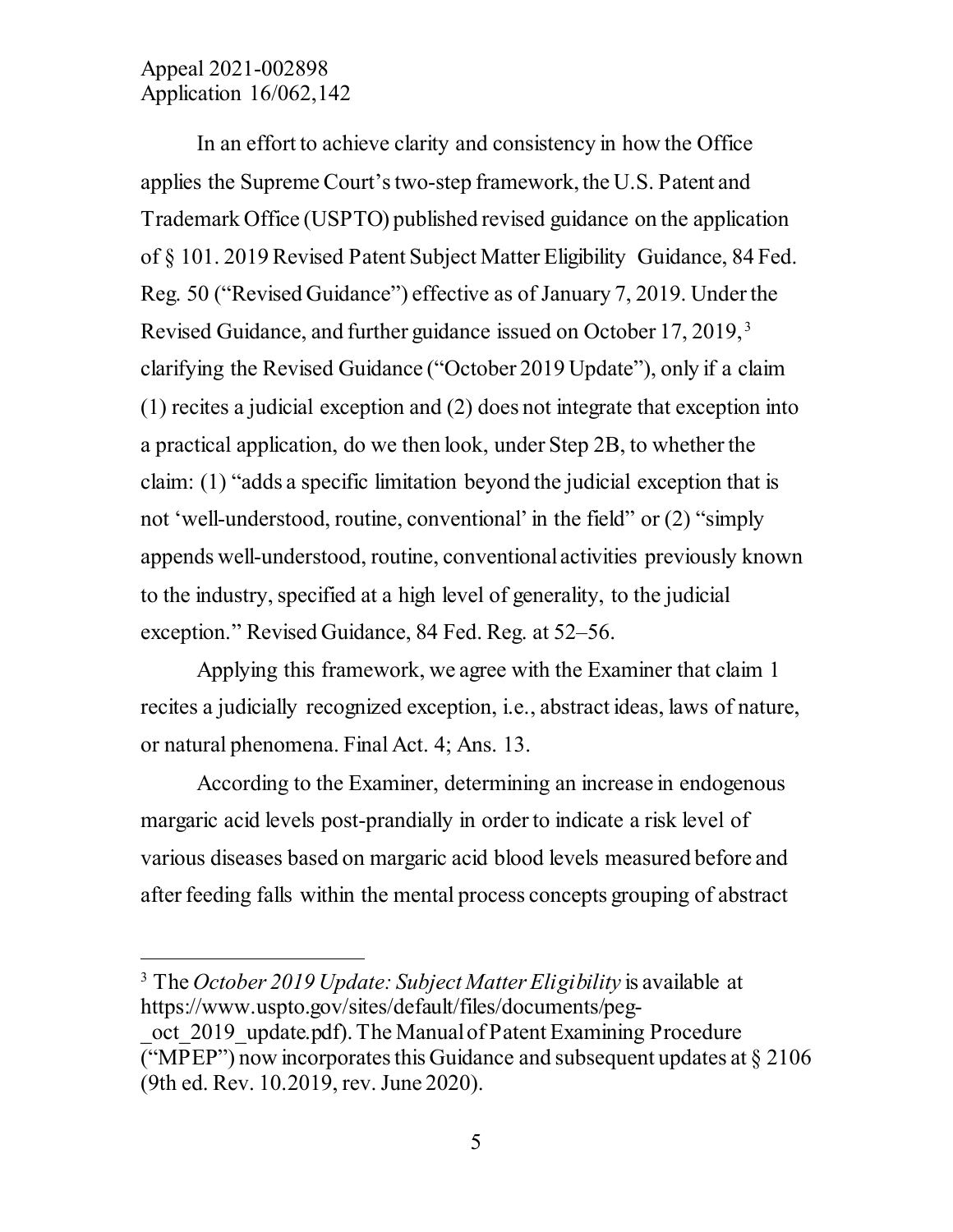$\overline{a}$ 

In an effort to achieve clarity and consistency in how the Office applies the Supreme Court's two-step framework, the U.S. Patent and Trademark Office (USPTO) published revised guidance on the application of § 101. 2019 Revised Patent Subject Matter Eligibility Guidance, 84 Fed. Reg. 50 ("Revised Guidance") effective as of January 7, 2019. Under the Revised Guidance, and further guidance issued on October 17, 2019, [3](#page-5-0) clarifying the Revised Guidance ("October 2019 Update"), only if a claim (1) recites a judicial exception and (2) does not integrate that exception into a practical application, do we then look, under Step 2B, to whether the claim: (1) "adds a specific limitation beyond the judicial exception that is not 'well-understood, routine, conventional' in the field" or (2) "simply appends well-understood, routine, conventional activities previously known to the industry, specified at a high level of generality, to the judicial exception." Revised Guidance, 84 Fed. Reg. at 52–56.

Applying this framework, we agree with the Examiner that claim 1 recites a judicially recognized exception, i.e., abstract ideas, laws of nature, or natural phenomena. Final Act. 4; Ans. 13.

According to the Examiner, determining an increase in endogenous margaric acid levels post-prandially in order to indicate a risk level of various diseases based on margaric acid blood levels measured before and after feeding falls within the mental process concepts grouping of abstract

<span id="page-5-0"></span><sup>3</sup> The *October 2019 Update: Subject Matter Eligibility* is available at https://www.uspto.gov/sites/default/files/documents/peg-

oct 2019 update.pdf). The Manual of Patent Examining Procedure ("MPEP") now incorporates this Guidance and subsequent updates at  $\S 2106$ (9th ed. Rev. 10.2019, rev. June 2020).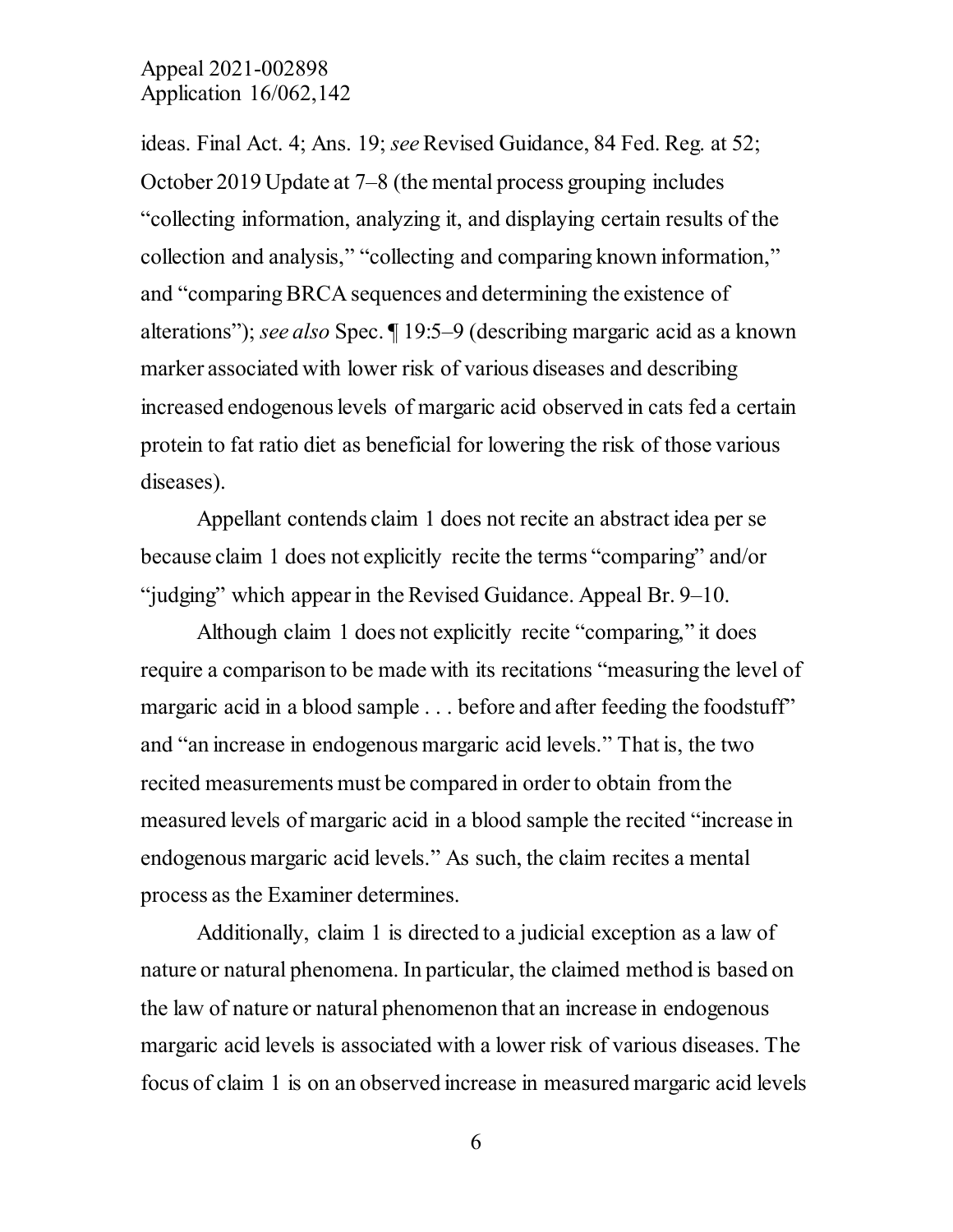ideas. Final Act. 4; Ans. 19; *see* Revised Guidance, 84 Fed. Reg. at 52; October 2019 Update at 7–8 (the mental process grouping includes "collecting information, analyzing it, and displaying certain results of the collection and analysis," "collecting and comparing known information," and "comparing BRCA sequences and determining the existence of alterations"); *see also* Spec. ¶ 19:5–9 (describing margaric acid as a known marker associated with lower risk of various diseases and describing increased endogenous levels of margaric acid observed in cats fed a certain protein to fat ratio diet as beneficial for lowering the risk of those various diseases).

Appellant contends claim 1 does not recite an abstract idea per se because claim 1 does not explicitly recite the terms "comparing" and/or "judging" which appear in the Revised Guidance. Appeal Br. 9–10.

Although claim 1 does not explicitly recite "comparing," it does require a comparison to be made with its recitations "measuring the level of margaric acid in a blood sample . . . before and after feeding the foodstuff" and "an increase in endogenous margaric acid levels." That is, the two recited measurements must be compared in order to obtain from the measured levels of margaric acid in a blood sample the recited "increase in endogenous margaric acid levels." As such, the claim recites a mental process as the Examiner determines.

Additionally, claim 1 is directed to a judicial exception as a law of nature or natural phenomena. In particular, the claimed method is based on the law of nature or natural phenomenon that an increase in endogenous margaric acid levels is associated with a lower risk of various diseases. The focus of claim 1 is on an observed increase in measured margaric acid levels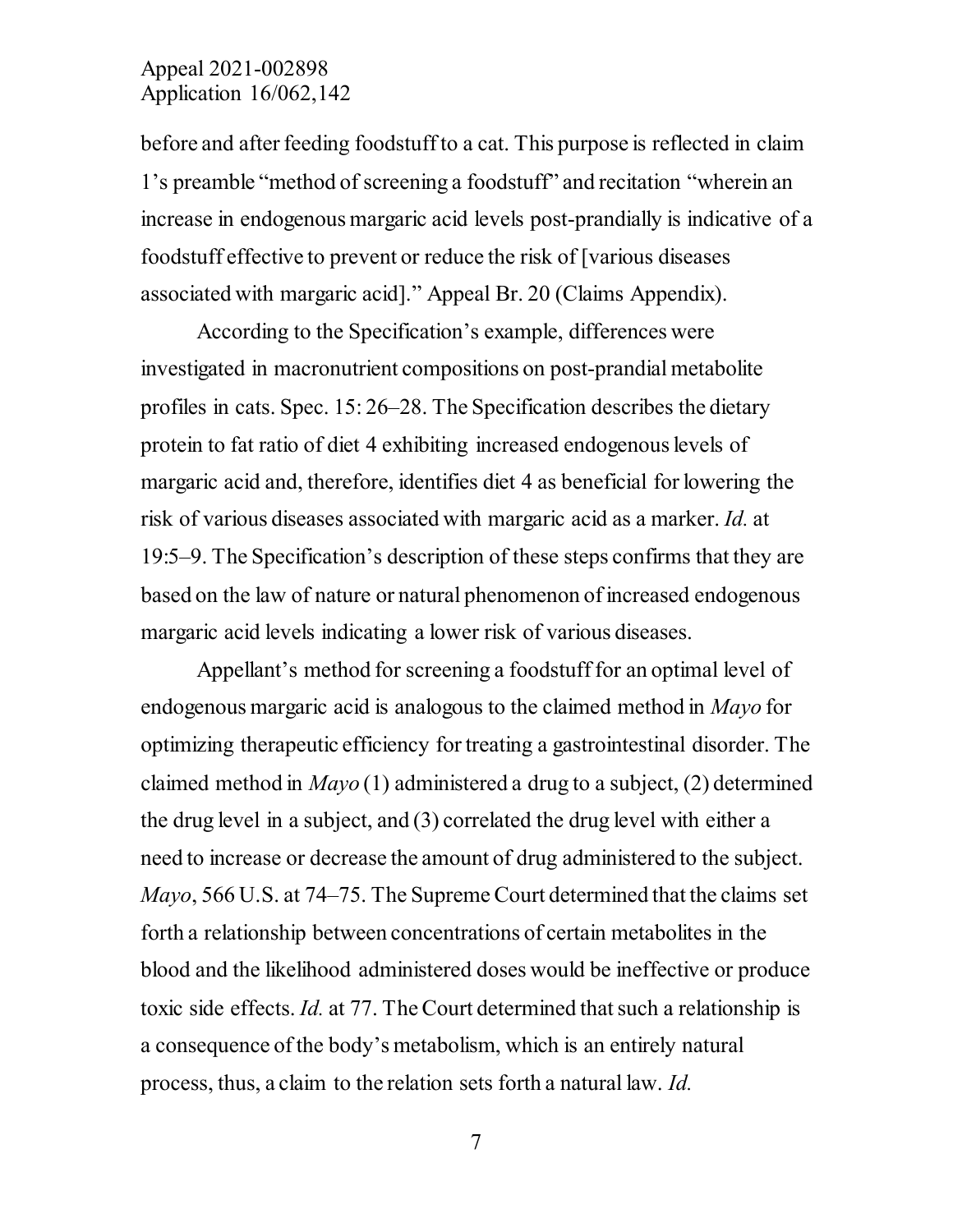before and after feeding foodstuff to a cat. This purpose is reflected in claim 1's preamble "method of screening a foodstuff" and recitation "wherein an increase in endogenous margaric acid levels post-prandially is indicative of a foodstuff effective to prevent or reduce the risk of [various diseases associated with margaric acid]." Appeal Br. 20 (Claims Appendix).

According to the Specification's example, differences were investigated in macronutrient compositions on post-prandial metabolite profiles in cats. Spec. 15: 26–28. The Specification describes the dietary protein to fat ratio of diet 4 exhibiting increased endogenous levels of margaric acid and, therefore, identifies diet 4 as beneficial for lowering the risk of various diseases associated with margaric acid as a marker. *Id.* at 19:5–9. The Specification's description of these steps confirms that they are based on the law of nature or natural phenomenon of increased endogenous margaric acid levels indicating a lower risk of various diseases.

Appellant's method for screening a foodstuff for an optimal level of endogenous margaric acid is analogous to the claimed method in *Mayo* for optimizing therapeutic efficiency for treating a gastrointestinal disorder. The claimed method in *Mayo* (1) administered a drug to a subject, (2) determined the drug level in a subject, and (3) correlated the drug level with either a need to increase or decrease the amount of drug administered to the subject. *Mayo*, 566 U.S. at 74–75. The Supreme Court determined that the claims set forth a relationship between concentrations of certain metabolites in the blood and the likelihood administered doses would be ineffective or produce toxic side effects. *Id.* at 77. The Court determined that such a relationship is a consequence of the body's metabolism, which is an entirely natural process, thus, a claim to the relation sets forth a natural law. *Id.*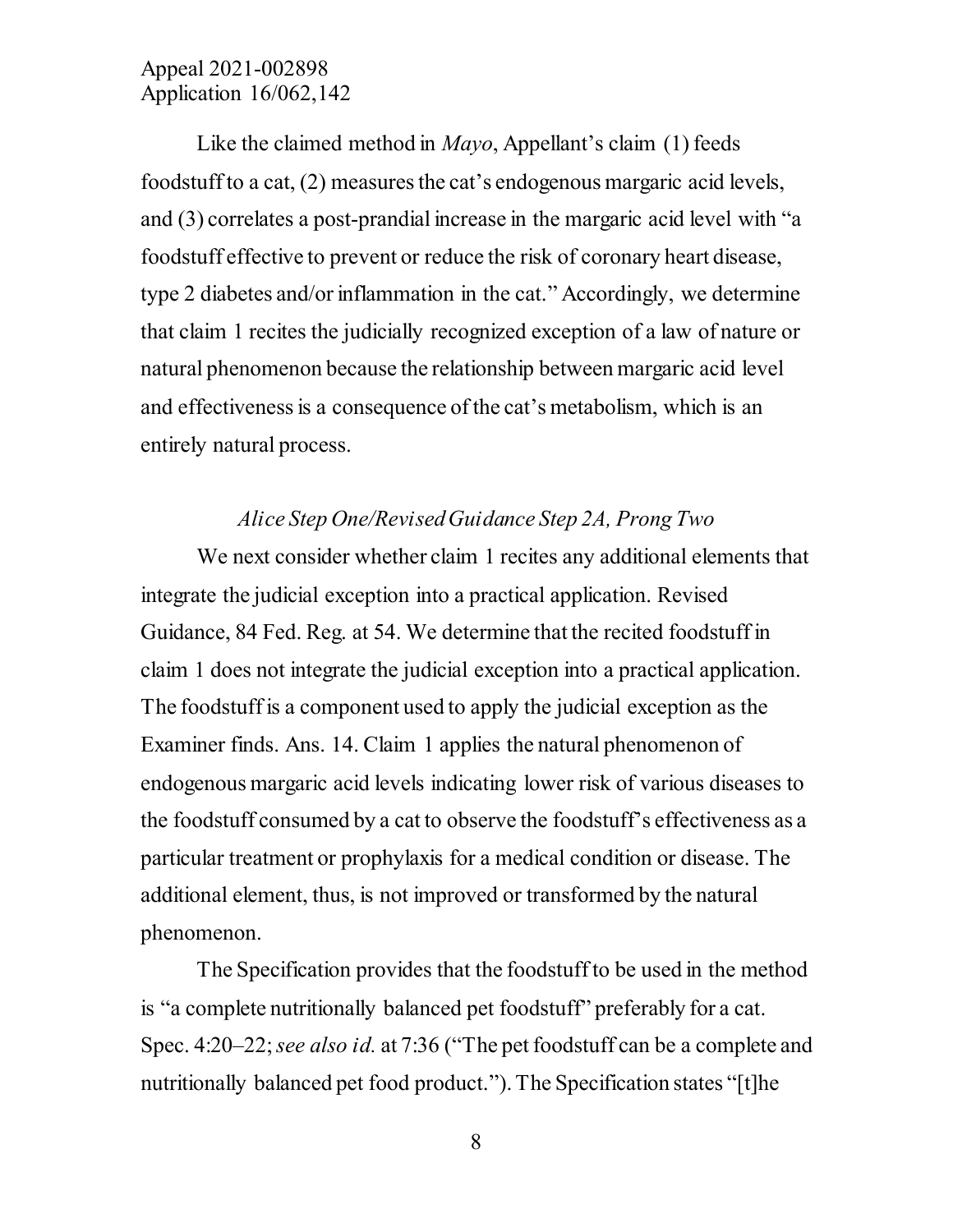Like the claimed method in *Mayo*, Appellant's claim (1) feeds foodstuff to a cat, (2) measures the cat's endogenous margaric acid levels, and (3) correlates a post-prandial increase in the margaric acid level with "a foodstuff effective to prevent or reduce the risk of coronary heart disease, type 2 diabetes and/or inflammation in the cat." Accordingly, we determine that claim 1 recites the judicially recognized exception of a law of nature or natural phenomenon because the relationship between margaric acid level and effectiveness is a consequence of the cat's metabolism, which is an entirely natural process.

#### *Alice Step One/Revised Guidance Step 2A, Prong Two*

We next consider whether claim 1 recites any additional elements that integrate the judicial exception into a practical application. Revised Guidance, 84 Fed. Reg. at 54. We determine that the recited foodstuff in claim 1 does not integrate the judicial exception into a practical application. The foodstuff is a component used to apply the judicial exception as the Examiner finds. Ans. 14. Claim 1 applies the natural phenomenon of endogenous margaric acid levels indicating lower risk of various diseases to the foodstuff consumed by a cat to observe the foodstuff's effectiveness as a particular treatment or prophylaxis for a medical condition or disease. The additional element, thus, is not improved or transformed by the natural phenomenon.

The Specification provides that the foodstuff to be used in the method is "a complete nutritionally balanced pet foodstuff" preferably for a cat. Spec. 4:20–22; *see also id.* at 7:36 ("The pet foodstuff can be a complete and nutritionally balanced pet food product."). The Specification states "[t]he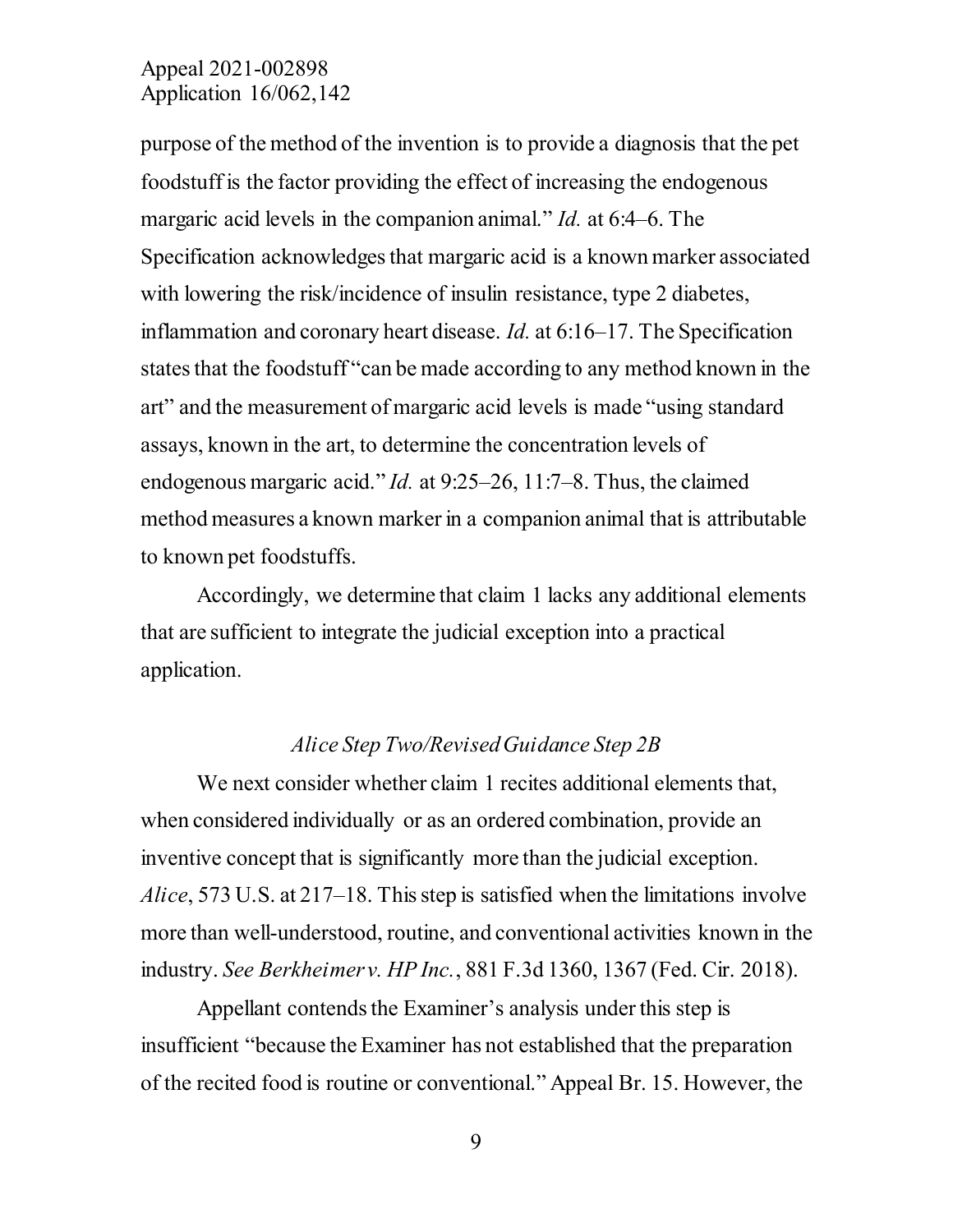purpose of the method of the invention is to provide a diagnosis that the pet foodstuff is the factor providing the effect of increasing the endogenous margaric acid levels in the companion animal." *Id.* at 6:4–6. The Specification acknowledges that margaric acid is a known marker associated with lowering the risk/incidence of insulin resistance, type 2 diabetes, inflammation and coronary heart disease. *Id.* at 6:16–17. The Specification states that the foodstuff "can be made according to any method known in the art" and the measurement of margaric acid levels is made "using standard assays, known in the art, to determine the concentration levels of endogenous margaric acid." *Id.* at 9:25–26, 11:7–8. Thus, the claimed method measures a known marker in a companion animal that is attributable to known pet foodstuffs.

Accordingly, we determine that claim 1 lacks any additional elements that are sufficient to integrate the judicial exception into a practical application.

#### *Alice Step Two/Revised Guidance Step 2B*

We next consider whether claim 1 recites additional elements that, when considered individually or as an ordered combination, provide an inventive concept that is significantly more than the judicial exception. *Alice*, 573 U.S. at 217–18. This step is satisfied when the limitations involve more than well-understood, routine, and conventional activities known in the industry. *See Berkheimer v. HP Inc.*, 881 F.3d 1360, 1367 (Fed. Cir. 2018).

Appellant contends the Examiner's analysis under this step is insufficient "because the Examiner has not established that the preparation of the recited food is routine or conventional." Appeal Br. 15. However, the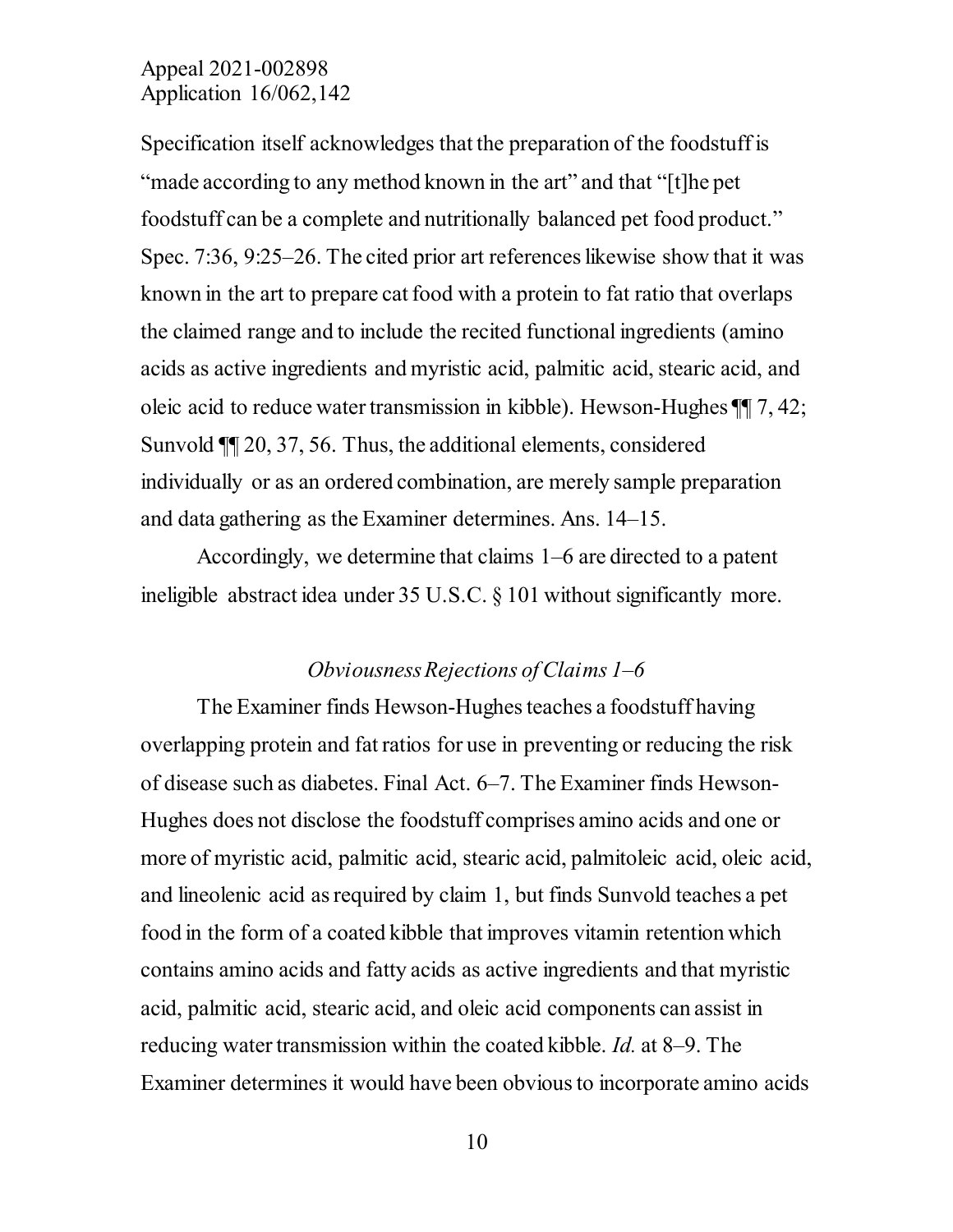Specification itself acknowledges that the preparation of the foodstuff is "made according to any method known in the art" and that "[t]he pet foodstuff can be a complete and nutritionally balanced pet food product." Spec. 7:36, 9:25–26. The cited prior art references likewise show that it was known in the art to prepare cat food with a protein to fat ratio that overlaps the claimed range and to include the recited functional ingredients (amino acids as active ingredients and myristic acid, palmitic acid, stearic acid, and oleic acid to reduce water transmission in kibble). Hewson-Hughes ¶¶ 7, 42; Sunvold ¶¶ 20, 37, 56. Thus, the additional elements, considered individually or as an ordered combination, are merely sample preparation and data gathering as the Examiner determines. Ans. 14–15.

Accordingly, we determine that claims 1–6 are directed to a patent ineligible abstract idea under 35 U.S.C. § 101 without significantly more.

### *Obviousness Rejections of Claims 1–6*

The Examiner finds Hewson-Hughes teaches a foodstuff having overlapping protein and fat ratios for use in preventing or reducing the risk of disease such as diabetes. Final Act. 6–7. The Examiner finds Hewson-Hughes does not disclose the foodstuff comprises amino acids and one or more of myristic acid, palmitic acid, stearic acid, palmitoleic acid, oleic acid, and lineolenic acid as required by claim 1, but finds Sunvold teaches a pet food in the form of a coated kibble that improves vitamin retention which contains amino acids and fatty acids as active ingredients and that myristic acid, palmitic acid, stearic acid, and oleic acid components can assist in reducing water transmission within the coated kibble. *Id.* at 8–9. The Examiner determines it would have been obvious to incorporate amino acids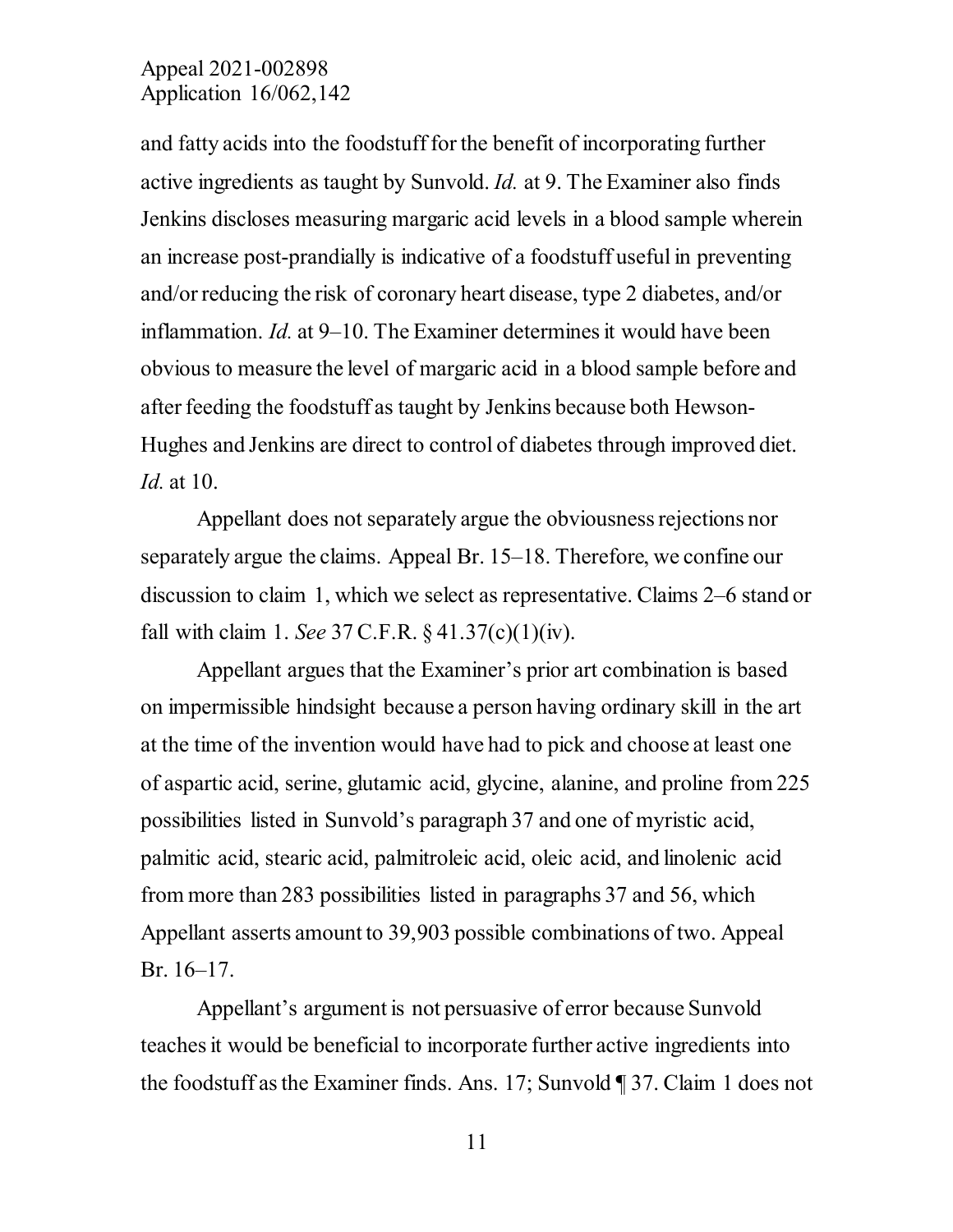and fatty acids into the foodstuff for the benefit of incorporating further active ingredients as taught by Sunvold. *Id.* at 9. The Examiner also finds Jenkins discloses measuring margaric acid levels in a blood sample wherein an increase post-prandially is indicative of a foodstuff useful in preventing and/or reducing the risk of coronary heart disease, type 2 diabetes, and/or inflammation. *Id.* at 9–10. The Examiner determines it would have been obvious to measure the level of margaric acid in a blood sample before and after feeding the foodstuff as taught by Jenkins because both Hewson-Hughes and Jenkins are direct to control of diabetes through improved diet. *Id.* at 10.

Appellant does not separately argue the obviousness rejections nor separately argue the claims. Appeal Br. 15–18. Therefore, we confine our discussion to claim 1, which we select as representative. Claims 2–6 stand or fall with claim 1. *See* 37 C.F.R. § 41.37(c)(1)(iv).

Appellant argues that the Examiner's prior art combination is based on impermissible hindsight because a person having ordinary skill in the art at the time of the invention would have had to pick and choose at least one of aspartic acid, serine, glutamic acid, glycine, alanine, and proline from 225 possibilities listed in Sunvold's paragraph 37 and one of myristic acid, palmitic acid, stearic acid, palmitroleic acid, oleic acid, and linolenic acid from more than 283 possibilities listed in paragraphs 37 and 56, which Appellant asserts amount to 39,903 possible combinations of two. Appeal Br. 16–17.

Appellant's argument is not persuasive of error because Sunvold teaches it would be beneficial to incorporate further active ingredients into the foodstuff as the Examiner finds. Ans. 17; Sunvold ¶ 37. Claim 1 does not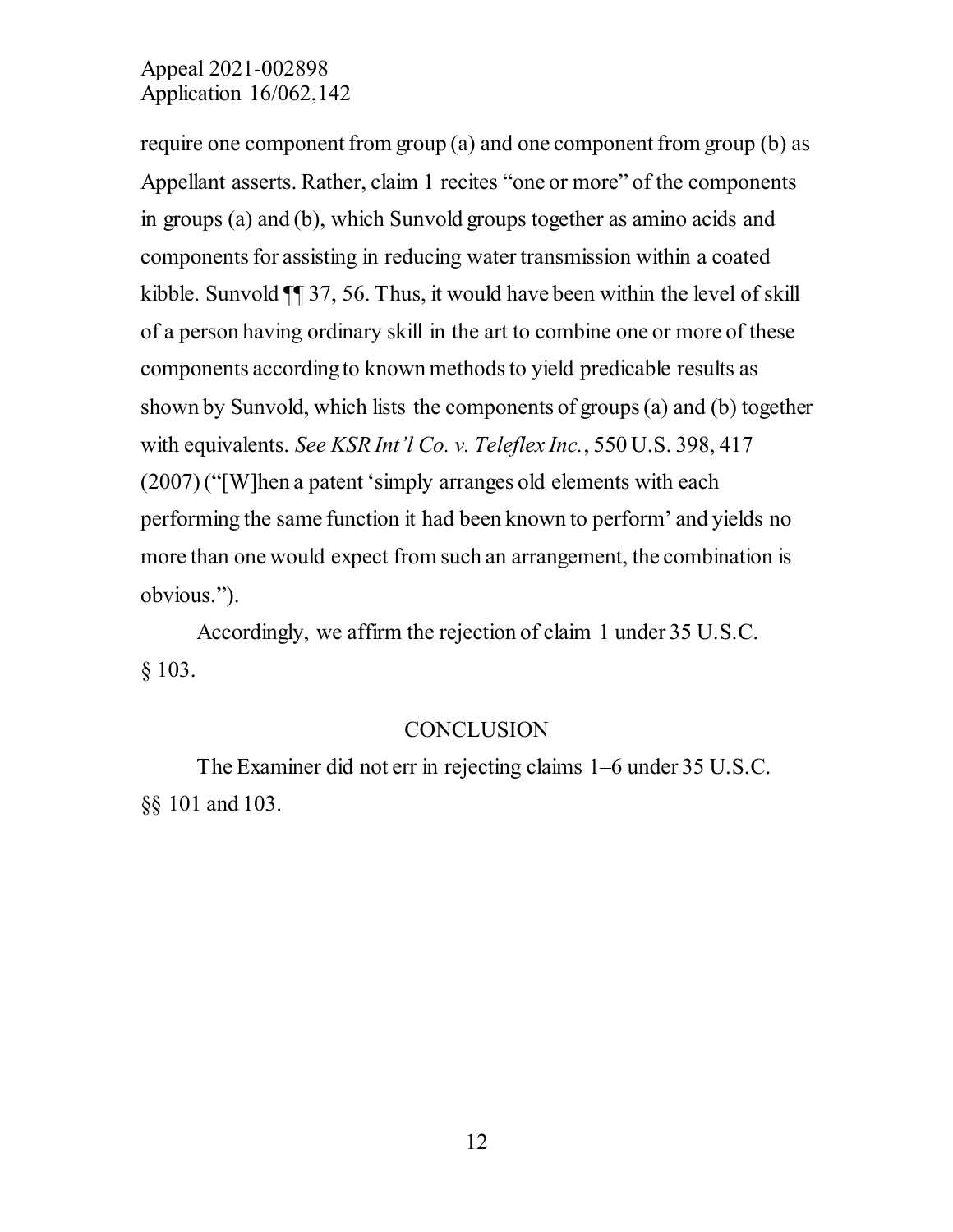require one component from group (a) and one component from group (b) as Appellant asserts. Rather, claim 1 recites "one or more" of the components in groups (a) and (b), which Sunvold groups together as amino acids and components for assisting in reducing water transmission within a coated kibble. Sunvold ¶¶ 37, 56. Thus, it would have been within the level of skill of a person having ordinary skill in the art to combine one or more of these components according to known methods to yield predicable results as shown by Sunvold, which lists the components of groups (a) and (b) together with equivalents. *See KSR Int'l Co. v. Teleflex Inc.*, 550 U.S. 398, 417 (2007) ("[W]hen a patent 'simply arranges old elements with each performing the same function it had been known to perform' and yields no more than one would expect from such an arrangement, the combination is obvious.").

Accordingly, we affirm the rejection of claim 1 under 35 U.S.C. § 103.

#### **CONCLUSION**

The Examiner did not err in rejecting claims 1–6 under 35 U.S.C. §§ 101 and 103.